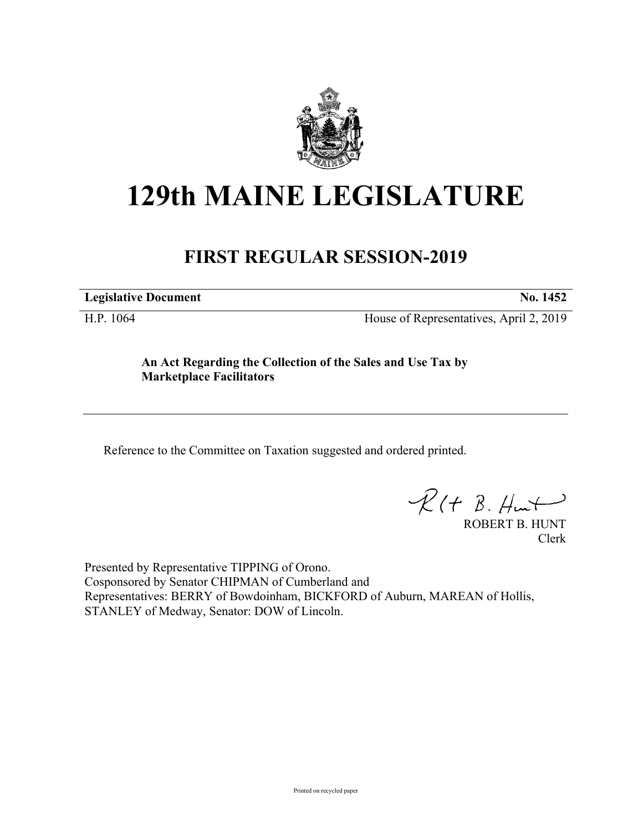

## **129th MAINE LEGISLATURE**

## **FIRST REGULAR SESSION-2019**

**Legislative Document No. 1452**

H.P. 1064 House of Representatives, April 2, 2019

**An Act Regarding the Collection of the Sales and Use Tax by Marketplace Facilitators**

Reference to the Committee on Taxation suggested and ordered printed.

 $R(t B. Hmt)$ 

ROBERT B. HUNT Clerk

Presented by Representative TIPPING of Orono. Cosponsored by Senator CHIPMAN of Cumberland and Representatives: BERRY of Bowdoinham, BICKFORD of Auburn, MAREAN of Hollis, STANLEY of Medway, Senator: DOW of Lincoln.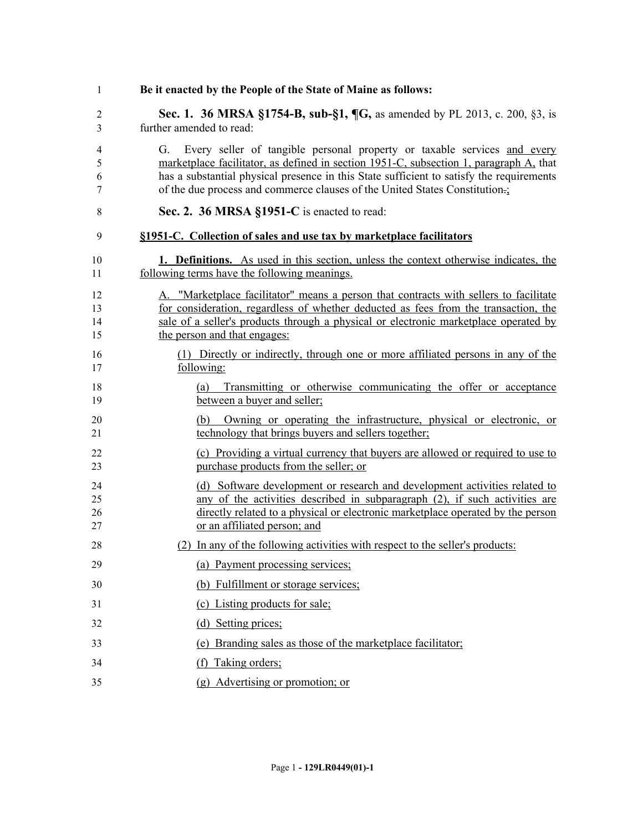| $\mathbf{1}$         | Be it enacted by the People of the State of Maine as follows:                                                                                                                                                                                                                                                                                      |
|----------------------|----------------------------------------------------------------------------------------------------------------------------------------------------------------------------------------------------------------------------------------------------------------------------------------------------------------------------------------------------|
| $\overline{2}$<br>3  | <b>Sec. 1. 36 MRSA §1754-B, sub-§1, ¶G, as amended by PL 2013, c. 200, §3, is</b><br>further amended to read:                                                                                                                                                                                                                                      |
| 4<br>5<br>6<br>7     | Every seller of tangible personal property or taxable services and every<br>G.<br>marketplace facilitator, as defined in section 1951-C, subsection 1, paragraph A, that<br>has a substantial physical presence in this State sufficient to satisfy the requirements<br>of the due process and commerce clauses of the United States Constitution. |
| 8                    | Sec. 2. 36 MRSA §1951-C is enacted to read:                                                                                                                                                                                                                                                                                                        |
| 9                    | §1951-C. Collection of sales and use tax by marketplace facilitators                                                                                                                                                                                                                                                                               |
| 10<br>11             | <b>1. Definitions.</b> As used in this section, unless the context otherwise indicates, the<br>following terms have the following meanings.                                                                                                                                                                                                        |
| 12<br>13<br>14<br>15 | A. "Marketplace facilitator" means a person that contracts with sellers to facilitate<br>for consideration, regardless of whether deducted as fees from the transaction, the<br>sale of a seller's products through a physical or electronic marketplace operated by<br>the person and that engages:                                               |
| 16<br>17             | (1) Directly or indirectly, through one or more affiliated persons in any of the<br>following:                                                                                                                                                                                                                                                     |
| 18<br>19             | Transmitting or otherwise communicating the offer or acceptance<br>(a)<br>between a buyer and seller;                                                                                                                                                                                                                                              |
| 20<br>21             | (b) Owning or operating the infrastructure, physical or electronic, or<br>technology that brings buyers and sellers together;                                                                                                                                                                                                                      |
| 22<br>23             | (c) Providing a virtual currency that buyers are allowed or required to use to<br>purchase products from the seller; or                                                                                                                                                                                                                            |
| 24<br>25<br>26<br>27 | (d) Software development or research and development activities related to<br>any of the activities described in subparagraph (2), if such activities are<br>directly related to a physical or electronic marketplace operated by the person<br>or an affiliated person; and                                                                       |
| 28                   | (2) In any of the following activities with respect to the seller's products:                                                                                                                                                                                                                                                                      |
| 29                   | (a) Payment processing services;                                                                                                                                                                                                                                                                                                                   |
| 30                   | (b) Fulfillment or storage services;                                                                                                                                                                                                                                                                                                               |
| 31                   | (c) Listing products for sale;                                                                                                                                                                                                                                                                                                                     |
| 32                   | (d) Setting prices;                                                                                                                                                                                                                                                                                                                                |
| 33                   | (e) Branding sales as those of the marketplace facilitator;                                                                                                                                                                                                                                                                                        |
| 34                   | (f) Taking orders;                                                                                                                                                                                                                                                                                                                                 |
| 35                   | (g) Advertising or promotion; or                                                                                                                                                                                                                                                                                                                   |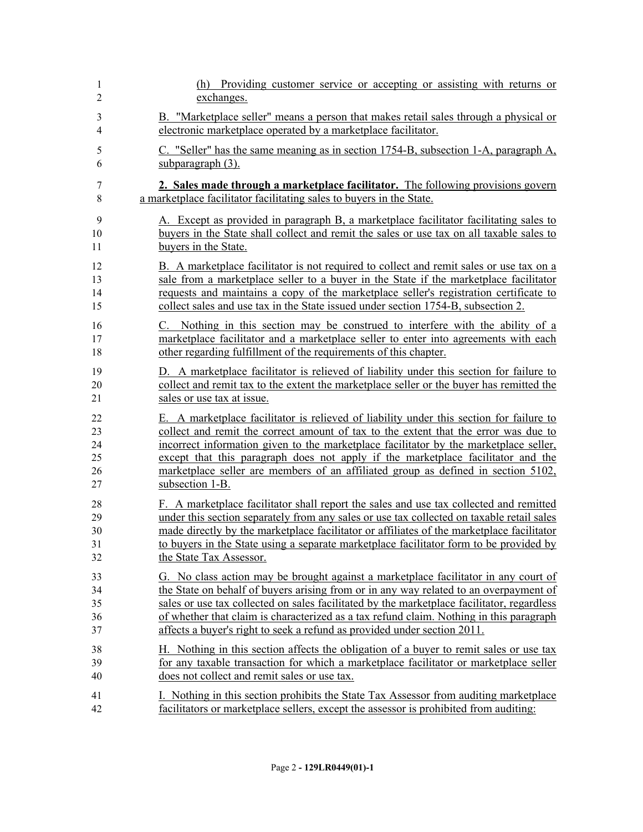| 1              | (h) Providing customer service or accepting or assisting with returns or                   |
|----------------|--------------------------------------------------------------------------------------------|
| $\overline{2}$ | exchanges.                                                                                 |
| 3              | B. "Marketplace seller" means a person that makes retail sales through a physical or       |
| 4              | electronic marketplace operated by a marketplace facilitator.                              |
| 5              | C. "Seller" has the same meaning as in section 1754-B, subsection 1-A, paragraph A,        |
| 6              | subparagraph $(3)$ .                                                                       |
| 7              | 2. Sales made through a marketplace facilitator. The following provisions govern           |
| 8              | a marketplace facilitator facilitating sales to buyers in the State.                       |
| 9              | A. Except as provided in paragraph B, a marketplace facilitator facilitating sales to      |
| 10             | buyers in the State shall collect and remit the sales or use tax on all taxable sales to   |
| 11             | buyers in the State.                                                                       |
| 12             | B. A marketplace facilitator is not required to collect and remit sales or use tax on a    |
| 13             | sale from a marketplace seller to a buyer in the State if the marketplace facilitator      |
| 14             | requests and maintains a copy of the marketplace seller's registration certificate to      |
| 15             | collect sales and use tax in the State issued under section 1754-B, subsection 2.          |
| 16             | C. Nothing in this section may be construed to interfere with the ability of a             |
| 17             | marketplace facilitator and a marketplace seller to enter into agreements with each        |
| 18             | other regarding fulfillment of the requirements of this chapter.                           |
| 19             | D. A marketplace facilitator is relieved of liability under this section for failure to    |
| 20             | collect and remit tax to the extent the marketplace seller or the buyer has remitted the   |
| 21             | sales or use tax at issue.                                                                 |
| 22             | E. A marketplace facilitator is relieved of liability under this section for failure to    |
| 23             | collect and remit the correct amount of tax to the extent that the error was due to        |
| 24             | incorrect information given to the marketplace facilitator by the marketplace seller,      |
| 25             | except that this paragraph does not apply if the marketplace facilitator and the           |
| 26             | marketplace seller are members of an affiliated group as defined in section 5102,          |
| 27             | subsection 1-B.                                                                            |
| 28             | F. A marketplace facilitator shall report the sales and use tax collected and remitted     |
| 29             | under this section separately from any sales or use tax collected on taxable retail sales  |
| 30             | made directly by the marketplace facilitator or affiliates of the marketplace facilitator  |
| 31             | to buyers in the State using a separate marketplace facilitator form to be provided by     |
| 32             | the State Tax Assessor.                                                                    |
| 33             | G. No class action may be brought against a marketplace facilitator in any court of        |
| 34             | the State on behalf of buyers arising from or in any way related to an overpayment of      |
| 35             | sales or use tax collected on sales facilitated by the marketplace facilitator, regardless |
| 36             | of whether that claim is characterized as a tax refund claim. Nothing in this paragraph    |
| 37             | affects a buyer's right to seek a refund as provided under section 2011.                   |
| 38             | H. Nothing in this section affects the obligation of a buyer to remit sales or use tax     |
| 39             | for any taxable transaction for which a marketplace facilitator or marketplace seller      |
| 40             | does not collect and remit sales or use tax.                                               |
| 41             | I. Nothing in this section prohibits the State Tax Assessor from auditing marketplace      |
| 42             | facilitators or marketplace sellers, except the assessor is prohibited from auditing:      |